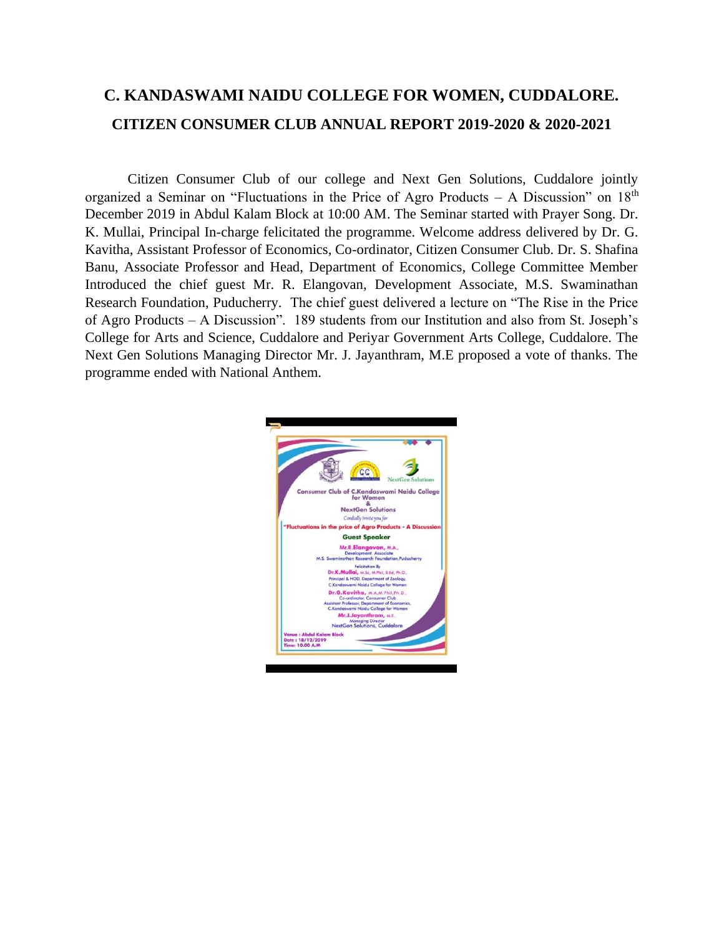## **C. KANDASWAMI NAIDU COLLEGE FOR WOMEN, CUDDALORE. CITIZEN CONSUMER CLUB ANNUAL REPORT 2019-2020 & 2020-2021**

Citizen Consumer Club of our college and Next Gen Solutions, Cuddalore jointly organized a Seminar on "Fluctuations in the Price of Agro Products – A Discussion" on  $18<sup>th</sup>$ December 2019 in Abdul Kalam Block at 10:00 AM. The Seminar started with Prayer Song. Dr. K. Mullai, Principal In-charge felicitated the programme. Welcome address delivered by Dr. G. Kavitha, Assistant Professor of Economics, Co-ordinator, Citizen Consumer Club. Dr. S. Shafina Banu, Associate Professor and Head, Department of Economics, College Committee Member Introduced the chief guest Mr. R. Elangovan, Development Associate, M.S. Swaminathan Research Foundation, Puducherry. The chief guest delivered a lecture on "The Rise in the Price of Agro Products – A Discussion". 189 students from our Institution and also from St. Joseph's College for Arts and Science, Cuddalore and Periyar Government Arts College, Cuddalore. The Next Gen Solutions Managing Director Mr. J. Jayanthram, M.E proposed a vote of thanks. The programme ended with National Anthem.

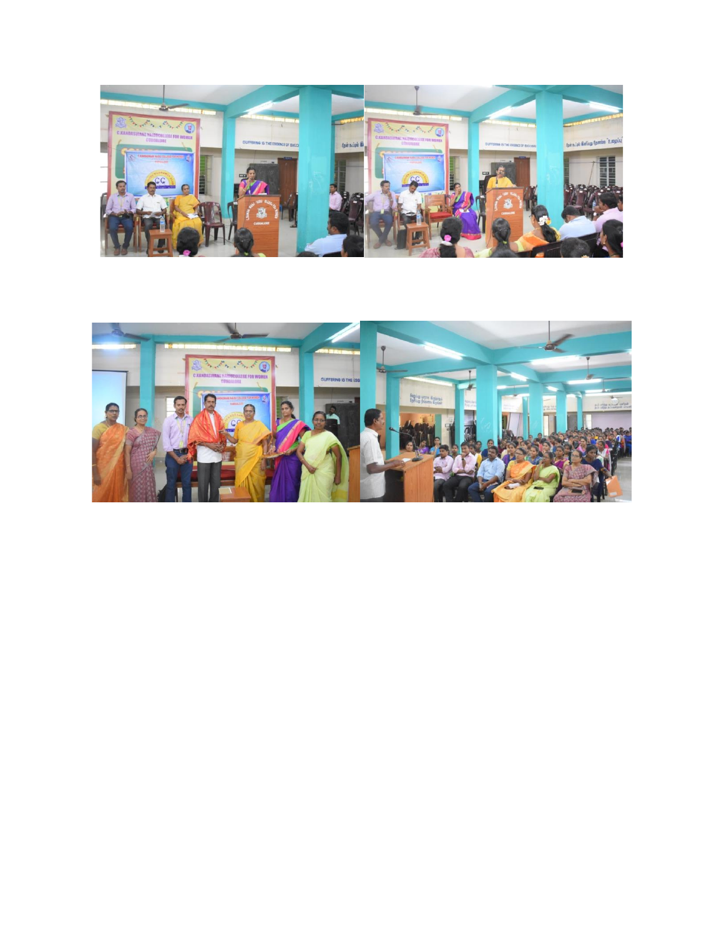

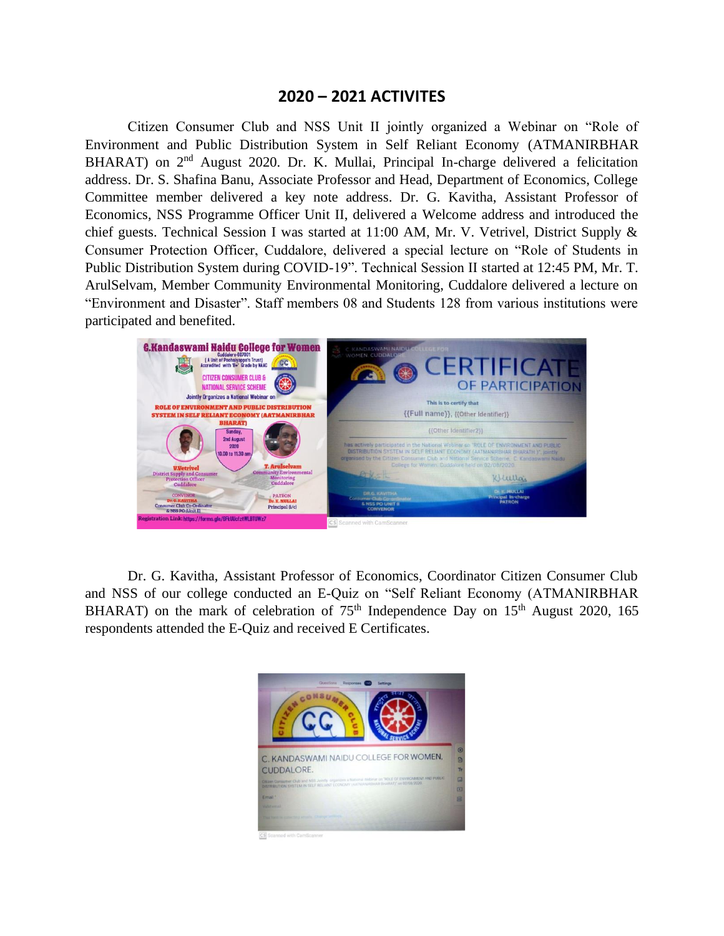## **2020 – 2021 ACTIVITES**

Citizen Consumer Club and NSS Unit II jointly organized a Webinar on "Role of Environment and Public Distribution System in Self Reliant Economy (ATMANIRBHAR BHARAT) on 2<sup>nd</sup> August 2020. Dr. K. Mullai, Principal In-charge delivered a felicitation address. Dr. S. Shafina Banu, Associate Professor and Head, Department of Economics, College Committee member delivered a key note address. Dr. G. Kavitha, Assistant Professor of Economics, NSS Programme Officer Unit II, delivered a Welcome address and introduced the chief guests. Technical Session I was started at 11:00 AM, Mr. V. Vetrivel, District Supply & Consumer Protection Officer, Cuddalore, delivered a special lecture on "Role of Students in Public Distribution System during COVID-19". Technical Session II started at 12:45 PM, Mr. T. ArulSelvam, Member Community Environmental Monitoring, Cuddalore delivered a lecture on "Environment and Disaster". Staff members 08 and Students 128 from various institutions were participated and benefited.



Dr. G. Kavitha, Assistant Professor of Economics, Coordinator Citizen Consumer Club and NSS of our college conducted an E-Quiz on "Self Reliant Economy (ATMANIRBHAR BHARAT) on the mark of celebration of  $75<sup>th</sup>$  Independence Day on  $15<sup>th</sup>$  August 2020, 165 respondents attended the E-Quiz and received E Certificates.